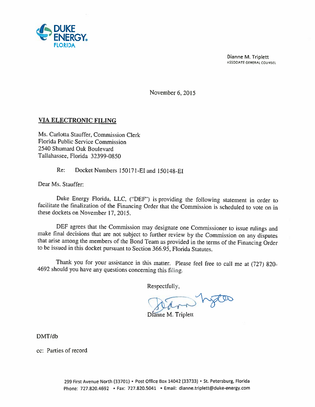

Dianne M. Triplett ASSOCIATE GENERAL COUNSEl

November 6, 2015

## VIA ELECTRONIC FILING

Ms. Carlotta Stauffer, Commission Clerk Florida Public Service Commission 2540 Shumard Oak Boulevard Tallahassee, Florida 32399-0850

Re: Docket Numbers 150171-EI and 150148-EI

Dear Ms. Stauffer:

Duke Energy Florida, LLC, ("DEF") is providing the following statement in order to facilitate the finalization of the Financing Order that the Commission is scheduled to vote on in these dockets on November 17, 2015.

DEF agrees that the Commission may designate one Commissioner to issue rulings and<br>make final decisions that are not subject to further review by the Commission on any disputes<br>that arise among the members of the Bond Team to be issued in this docket pursuant to Section 366.95, Florida Statutes.

Thank you for your assistance in this matter. Please feel free to call me at (727) 820- 4692 should you have any questions concerning this filing.

Respectfully,

hotes

Dianne M. Triplett

DMT/db

cc: Parties of record